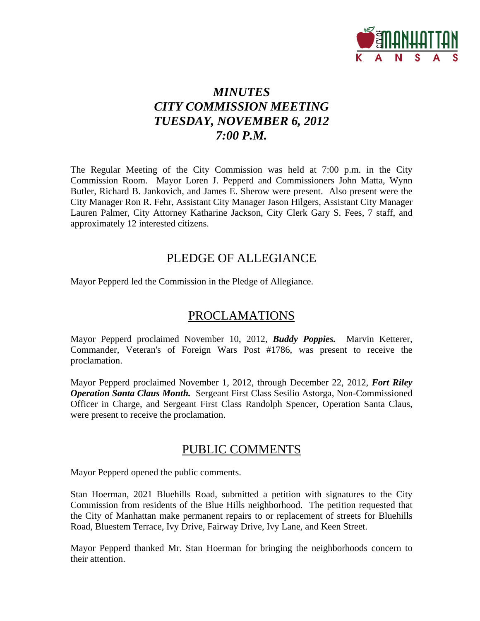

# *MINUTES CITY COMMISSION MEETING TUESDAY, NOVEMBER 6, 2012 7:00 P.M.*

The Regular Meeting of the City Commission was held at 7:00 p.m. in the City Commission Room. Mayor Loren J. Pepperd and Commissioners John Matta, Wynn Butler, Richard B. Jankovich, and James E. Sherow were present. Also present were the City Manager Ron R. Fehr, Assistant City Manager Jason Hilgers, Assistant City Manager Lauren Palmer, City Attorney Katharine Jackson, City Clerk Gary S. Fees, 7 staff, and approximately 12 interested citizens.

### PLEDGE OF ALLEGIANCE

Mayor Pepperd led the Commission in the Pledge of Allegiance.

# PROCLAMATIONS

Mayor Pepperd proclaimed November 10, 2012, *Buddy Poppies.* Marvin Ketterer, Commander, Veteran's of Foreign Wars Post #1786, was present to receive the proclamation.

Mayor Pepperd proclaimed November 1, 2012, through December 22, 2012, *Fort Riley Operation Santa Claus Month.* Sergeant First Class Sesilio Astorga, Non-Commissioned Officer in Charge, and Sergeant First Class Randolph Spencer, Operation Santa Claus, were present to receive the proclamation.

## PUBLIC COMMENTS

Mayor Pepperd opened the public comments.

Stan Hoerman, 2021 Bluehills Road, submitted a petition with signatures to the City Commission from residents of the Blue Hills neighborhood. The petition requested that the City of Manhattan make permanent repairs to or replacement of streets for Bluehills Road, Bluestem Terrace, Ivy Drive, Fairway Drive, Ivy Lane, and Keen Street.

Mayor Pepperd thanked Mr. Stan Hoerman for bringing the neighborhoods concern to their attention.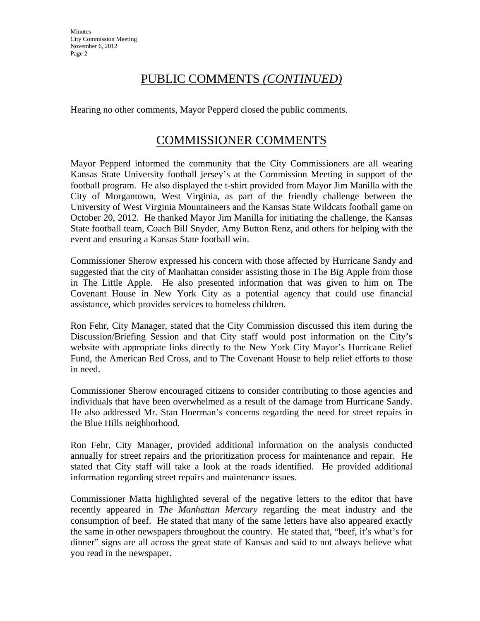## PUBLIC COMMENTS *(CONTINUED)*

Hearing no other comments, Mayor Pepperd closed the public comments.

## COMMISSIONER COMMENTS

Mayor Pepperd informed the community that the City Commissioners are all wearing Kansas State University football jersey's at the Commission Meeting in support of the football program. He also displayed the t-shirt provided from Mayor Jim Manilla with the City of Morgantown, West Virginia, as part of the friendly challenge between the University of West Virginia Mountaineers and the Kansas State Wildcats football game on October 20, 2012. He thanked Mayor Jim Manilla for initiating the challenge, the Kansas State football team, Coach Bill Snyder, Amy Button Renz, and others for helping with the event and ensuring a Kansas State football win.

Commissioner Sherow expressed his concern with those affected by Hurricane Sandy and suggested that the city of Manhattan consider assisting those in The Big Apple from those in The Little Apple. He also presented information that was given to him on The Covenant House in New York City as a potential agency that could use financial assistance, which provides services to homeless children.

Ron Fehr, City Manager, stated that the City Commission discussed this item during the Discussion/Briefing Session and that City staff would post information on the City's website with appropriate links directly to the New York City Mayor's Hurricane Relief Fund, the American Red Cross, and to The Covenant House to help relief efforts to those in need.

Commissioner Sherow encouraged citizens to consider contributing to those agencies and individuals that have been overwhelmed as a result of the damage from Hurricane Sandy. He also addressed Mr. Stan Hoerman's concerns regarding the need for street repairs in the Blue Hills neighborhood.

Ron Fehr, City Manager, provided additional information on the analysis conducted annually for street repairs and the prioritization process for maintenance and repair. He stated that City staff will take a look at the roads identified. He provided additional information regarding street repairs and maintenance issues.

Commissioner Matta highlighted several of the negative letters to the editor that have recently appeared in *The Manhattan Mercury* regarding the meat industry and the consumption of beef. He stated that many of the same letters have also appeared exactly the same in other newspapers throughout the country. He stated that, "beef, it's what's for dinner" signs are all across the great state of Kansas and said to not always believe what you read in the newspaper.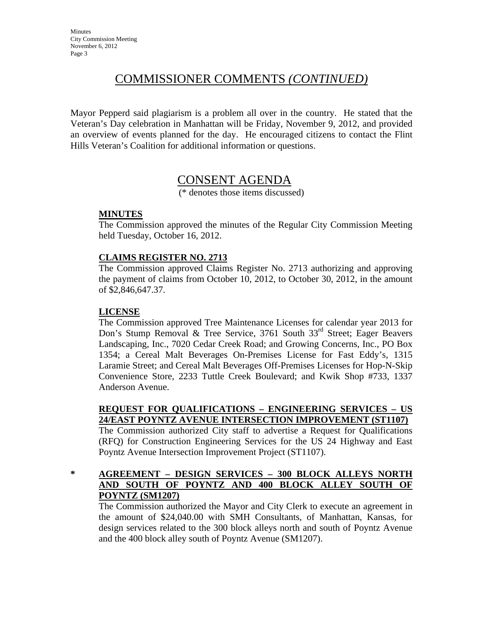# COMMISSIONER COMMENTS *(CONTINUED)*

Mayor Pepperd said plagiarism is a problem all over in the country. He stated that the Veteran's Day celebration in Manhattan will be Friday, November 9, 2012, and provided an overview of events planned for the day. He encouraged citizens to contact the Flint Hills Veteran's Coalition for additional information or questions.

## CONSENT AGENDA

(\* denotes those items discussed)

### **MINUTES**

The Commission approved the minutes of the Regular City Commission Meeting held Tuesday, October 16, 2012.

### **CLAIMS REGISTER NO. 2713**

The Commission approved Claims Register No. 2713 authorizing and approving the payment of claims from October 10, 2012, to October 30, 2012, in the amount of \$2,846,647.37.

### **LICENSE**

The Commission approved Tree Maintenance Licenses for calendar year 2013 for Don's Stump Removal & Tree Service, 3761 South 33<sup>rd</sup> Street; Eager Beavers Landscaping, Inc., 7020 Cedar Creek Road; and Growing Concerns, Inc., PO Box 1354; a Cereal Malt Beverages On-Premises License for Fast Eddy's, 1315 Laramie Street; and Cereal Malt Beverages Off-Premises Licenses for Hop-N-Skip Convenience Store, 2233 Tuttle Creek Boulevard; and Kwik Shop #733, 1337 Anderson Avenue.

### **REQUEST FOR QUALIFICATIONS – ENGINEERING SERVICES – US 24/EAST POYNTZ AVENUE INTERSECTION IMPROVEMENT (ST1107)**

The Commission authorized City staff to advertise a Request for Qualifications (RFQ) for Construction Engineering Services for the US 24 Highway and East Poyntz Avenue Intersection Improvement Project (ST1107).

**\* AGREEMENT – DESIGN SERVICES – 300 BLOCK ALLEYS NORTH AND SOUTH OF POYNTZ AND 400 BLOCK ALLEY SOUTH OF POYNTZ (SM1207)**

The Commission authorized the Mayor and City Clerk to execute an agreement in the amount of \$24,040.00 with SMH Consultants, of Manhattan, Kansas, for design services related to the 300 block alleys north and south of Poyntz Avenue and the 400 block alley south of Poyntz Avenue (SM1207).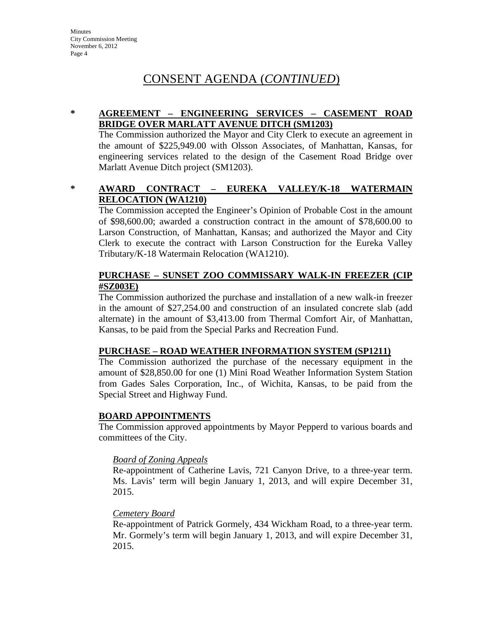## CONSENT AGENDA (*CONTINUED*)

### **\* AGREEMENT – ENGINEERING SERVICES – CASEMENT ROAD BRIDGE OVER MARLATT AVENUE DITCH (SM1203)**

The Commission authorized the Mayor and City Clerk to execute an agreement in the amount of \$225,949.00 with Olsson Associates, of Manhattan, Kansas, for engineering services related to the design of the Casement Road Bridge over Marlatt Avenue Ditch project (SM1203).

### **\* AWARD CONTRACT – EUREKA VALLEY/K-18 WATERMAIN RELOCATION (WA1210)**

The Commission accepted the Engineer's Opinion of Probable Cost in the amount of \$98,600.00; awarded a construction contract in the amount of \$78,600.00 to Larson Construction, of Manhattan, Kansas; and authorized the Mayor and City Clerk to execute the contract with Larson Construction for the Eureka Valley Tributary/K-18 Watermain Relocation (WA1210).

#### **PURCHASE – SUNSET ZOO COMMISSARY WALK-IN FREEZER (CIP #SZ003E)**

The Commission authorized the purchase and installation of a new walk-in freezer in the amount of \$27,254.00 and construction of an insulated concrete slab (add alternate) in the amount of \$3,413.00 from Thermal Comfort Air, of Manhattan, Kansas, to be paid from the Special Parks and Recreation Fund.

### **PURCHASE – ROAD WEATHER INFORMATION SYSTEM (SP1211)**

The Commission authorized the purchase of the necessary equipment in the amount of \$28,850.00 for one (1) Mini Road Weather Information System Station from Gades Sales Corporation, Inc., of Wichita, Kansas, to be paid from the Special Street and Highway Fund.

#### **BOARD APPOINTMENTS**

The Commission approved appointments by Mayor Pepperd to various boards and committees of the City.

#### *Board of Zoning Appeals*

Re-appointment of Catherine Lavis, 721 Canyon Drive, to a three-year term. Ms. Lavis' term will begin January 1, 2013, and will expire December 31, 2015.

#### *Cemetery Board*

Re-appointment of Patrick Gormely, 434 Wickham Road, to a three-year term. Mr. Gormely's term will begin January 1, 2013, and will expire December 31, 2015.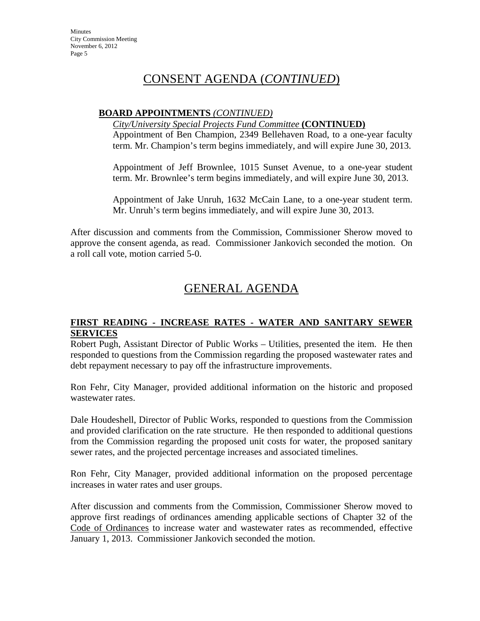# CONSENT AGENDA (*CONTINUED*)

#### **BOARD APPOINTMENTS** *(CONTINUED)*

*City/University Special Projects Fund Committee* **(CONTINUED)**

Appointment of Ben Champion, 2349 Bellehaven Road, to a one-year faculty term. Mr. Champion's term begins immediately, and will expire June 30, 2013.

Appointment of Jeff Brownlee, 1015 Sunset Avenue, to a one-year student term. Mr. Brownlee's term begins immediately, and will expire June 30, 2013.

Appointment of Jake Unruh, 1632 McCain Lane, to a one-year student term. Mr. Unruh's term begins immediately, and will expire June 30, 2013.

After discussion and comments from the Commission, Commissioner Sherow moved to approve the consent agenda, as read. Commissioner Jankovich seconded the motion. On a roll call vote, motion carried 5-0.

# GENERAL AGENDA

#### **FIRST READING - INCREASE RATES - WATER AND SANITARY SEWER SERVICES**

Robert Pugh, Assistant Director of Public Works – Utilities, presented the item. He then responded to questions from the Commission regarding the proposed wastewater rates and debt repayment necessary to pay off the infrastructure improvements.

Ron Fehr, City Manager, provided additional information on the historic and proposed wastewater rates.

Dale Houdeshell, Director of Public Works, responded to questions from the Commission and provided clarification on the rate structure. He then responded to additional questions from the Commission regarding the proposed unit costs for water, the proposed sanitary sewer rates, and the projected percentage increases and associated timelines.

Ron Fehr, City Manager, provided additional information on the proposed percentage increases in water rates and user groups.

After discussion and comments from the Commission, Commissioner Sherow moved to approve first readings of ordinances amending applicable sections of Chapter 32 of the Code of Ordinances to increase water and wastewater rates as recommended, effective January 1, 2013. Commissioner Jankovich seconded the motion.